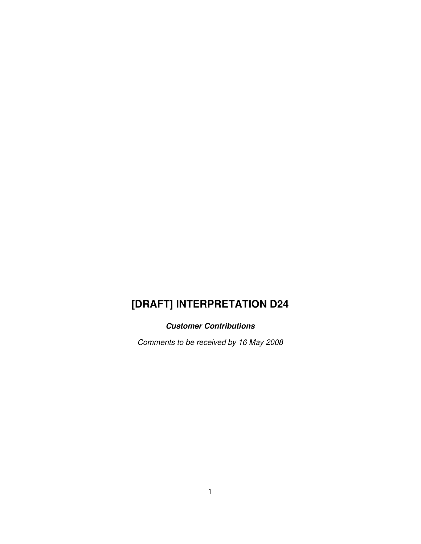# **[DRAFT] INTERPRETATION D24**

# **Customer Contributions**

Comments to be received by 16 May 2008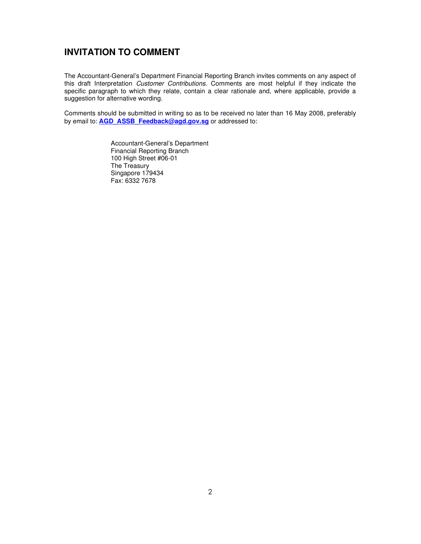# **INVITATION TO COMMENT**

The Accountant-General's Department Financial Reporting Branch invites comments on any aspect of this draft Interpretation Customer Contributions. Comments are most helpful if they indicate the specific paragraph to which they relate, contain a clear rationale and, where applicable, provide a suggestion for alternative wording.

Comments should be submitted in writing so as to be received no later than 16 May 2008, preferably by email to: **AGD\_ASSB\_Feedback@agd.gov.sg** or addressed to:

> Accountant-General's Department Financial Reporting Branch 100 High Street #06-01 The Treasury Singapore 179434 Fax: 6332 7678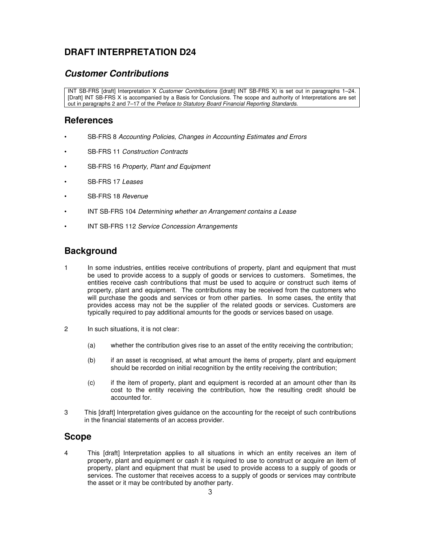# **DRAFT INTERPRETATION D24**

### **Customer Contributions**

INT SB-FRS [draft] Interpretation X Customer Contributions ([draft] INT SB-FRS X) is set out in paragraphs 1–24. [Draft] INT SB-FRS X is accompanied by a Basis for Conclusions. The scope and authority of Interpretations are set out in paragraphs 2 and 7–17 of the Preface to Statutory Board Financial Reporting Standards.

### **References**

- SB-FRS 8 Accounting Policies, Changes in Accounting Estimates and Errors
- SB-FRS 11 Construction Contracts
- SB-FRS 16 Property, Plant and Equipment
- SB-FRS 17 Leases
- SB-FRS 18 Revenue
- INT SB-FRS 104 Determining whether an Arrangement contains a Lease
- INT SB-FRS 112 Service Concession Arrangements

## **Background**

- 1 In some industries, entities receive contributions of property, plant and equipment that must be used to provide access to a supply of goods or services to customers. Sometimes, the entities receive cash contributions that must be used to acquire or construct such items of property, plant and equipment. The contributions may be received from the customers who will purchase the goods and services or from other parties. In some cases, the entity that provides access may not be the supplier of the related goods or services. Customers are typically required to pay additional amounts for the goods or services based on usage.
- 2 In such situations, it is not clear:
	- (a) whether the contribution gives rise to an asset of the entity receiving the contribution;
	- (b) if an asset is recognised, at what amount the items of property, plant and equipment should be recorded on initial recognition by the entity receiving the contribution;
	- (c) if the item of property, plant and equipment is recorded at an amount other than its cost to the entity receiving the contribution, how the resulting credit should be accounted for.
- 3 This [draft] Interpretation gives guidance on the accounting for the receipt of such contributions in the financial statements of an access provider.

#### **Scope**

4 This [draft] Interpretation applies to all situations in which an entity receives an item of property, plant and equipment or cash it is required to use to construct or acquire an item of property, plant and equipment that must be used to provide access to a supply of goods or services. The customer that receives access to a supply of goods or services may contribute the asset or it may be contributed by another party.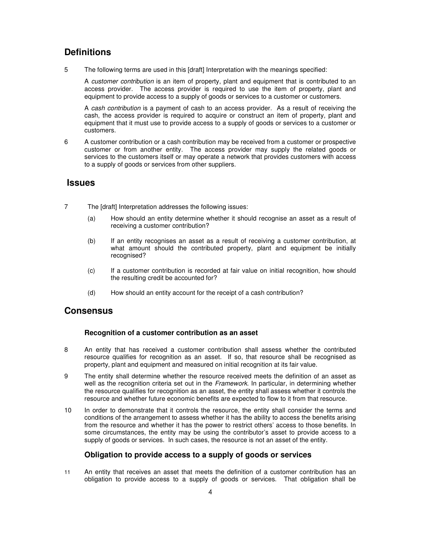# **Definitions**

5 The following terms are used in this [draft] Interpretation with the meanings specified:

A customer contribution is an item of property, plant and equipment that is contributed to an access provider. The access provider is required to use the item of property, plant and equipment to provide access to a supply of goods or services to a customer or customers.

A cash contribution is a payment of cash to an access provider. As a result of receiving the cash, the access provider is required to acquire or construct an item of property, plant and equipment that it must use to provide access to a supply of goods or services to a customer or customers.

6 A customer contribution or a cash contribution may be received from a customer or prospective customer or from another entity. The access provider may supply the related goods or services to the customers itself or may operate a network that provides customers with access to a supply of goods or services from other suppliers.

### **Issues**

- 7 The [draft] Interpretation addresses the following issues:
	- (a) How should an entity determine whether it should recognise an asset as a result of receiving a customer contribution?
	- (b) If an entity recognises an asset as a result of receiving a customer contribution, at what amount should the contributed property, plant and equipment be initially recognised?
	- (c) If a customer contribution is recorded at fair value on initial recognition, how should the resulting credit be accounted for?
	- (d) How should an entity account for the receipt of a cash contribution?

### **Consensus**

#### **Recognition of a customer contribution as an asset**

- 8 An entity that has received a customer contribution shall assess whether the contributed resource qualifies for recognition as an asset. If so, that resource shall be recognised as property, plant and equipment and measured on initial recognition at its fair value.
- 9 The entity shall determine whether the resource received meets the definition of an asset as well as the recognition criteria set out in the *Framework*. In particular, in determining whether the resource qualifies for recognition as an asset, the entity shall assess whether it controls the resource and whether future economic benefits are expected to flow to it from that resource.
- 10 In order to demonstrate that it controls the resource, the entity shall consider the terms and conditions of the arrangement to assess whether it has the ability to access the benefits arising from the resource and whether it has the power to restrict others' access to those benefits. In some circumstances, the entity may be using the contributor's asset to provide access to a supply of goods or services. In such cases, the resource is not an asset of the entity.

#### **Obligation to provide access to a supply of goods or services**

11 An entity that receives an asset that meets the definition of a customer contribution has an obligation to provide access to a supply of goods or services. That obligation shall be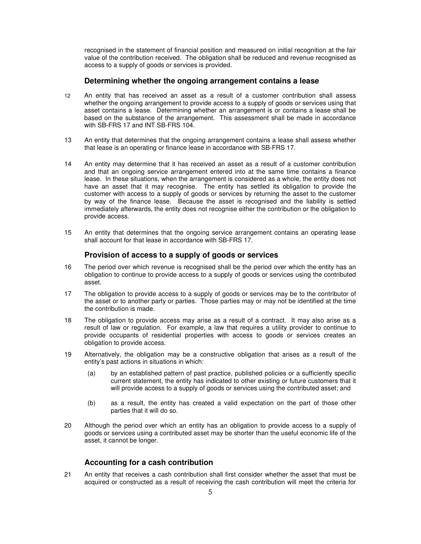recognised in the statement of financial position and measured on initial recognition at the fair value of the contribution received. The obligation shall be reduced and revenue recognised as access to a supply of goods or services is provided.

#### **Determining whether the ongoing arrangement contains a lease**

- 12 An entity that has received an asset as a result of a customer contribution shall assess whether the ongoing arrangement to provide access to a supply of goods or services using that asset contains a lease. Determining whether an arrangement is or contains a lease shall be based on the substance of the arrangement. This assessment shall be made in accordance with SB-FRS 17 and INT SB-FRS 104.
- 13 An entity that determines that the ongoing arrangement contains a lease shall assess whether that lease is an operating or finance lease in accordance with SB-FRS 17.
- 14 An entity may determine that it has received an asset as a result of a customer contribution and that an ongoing service arrangement entered into at the same time contains a finance lease. In these situations, when the arrangement is considered as a whole, the entity does not have an asset that it may recognise. The entity has settled its obligation to provide the customer with access to a supply of goods or services by returning the asset to the customer by way of the finance lease. Because the asset is recognised and the liability is settled immediately afterwards, the entity does not recognise either the contribution or the obligation to provide access.
- 15 An entity that determines that the ongoing service arrangement contains an operating lease shall account for that lease in accordance with SB-FRS 17.

#### **Provision of access to a supply of goods or services**

- 16 The period over which revenue is recognised shall be the period over which the entity has an obligation to continue to provide access to a supply of goods or services using the contributed asset.
- 17 The obligation to provide access to a supply of goods or services may be to the contributor of the asset or to another party or parties. Those parties may or may not be identified at the time the contribution is made.
- 18 The obligation to provide access may arise as a result of a contract. It may also arise as a result of law or regulation. For example, a law that requires a utility provider to continue to provide occupants of residential properties with access to goods or services creates an obligation to provide access.
- 19 Alternatively, the obligation may be a constructive obligation that arises as a result of the entity's past actions in situations in which:
	- (a) by an established pattern of past practice, published policies or a sufficiently specific current statement, the entity has indicated to other existing or future customers that it will provide access to a supply of goods or services using the contributed asset; and
	- (b) as a result, the entity has created a valid expectation on the part of those other parties that it will do so.
- 20 Although the period over which an entity has an obligation to provide access to a supply of goods or services using a contributed asset may be shorter than the useful economic life of the asset, it cannot be longer.

#### **Accounting for a cash contribution**

21 An entity that receives a cash contribution shall first consider whether the asset that must be acquired or constructed as a result of receiving the cash contribution will meet the criteria for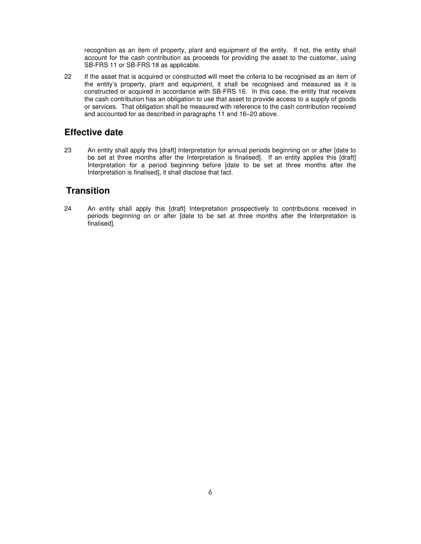recognition as an item of property, plant and equipment of the entity. If not, the entity shall account for the cash contribution as proceeds for providing the asset to the customer, using SB-FRS 11 or SB-FRS 18 as applicable.

22 If the asset that is acquired or constructed will meet the criteria to be recognised as an item of the entity's property, plant and equipment, it shall be recognised and measured as it is constructed or acquired in accordance with SB-FRS 16. In this case, the entity that receives the cash contribution has an obligation to use that asset to provide access to a supply of goods or services. That obligation shall be measured with reference to the cash contribution received and accounted for as described in paragraphs 11 and 16–20 above.

### **Effective date**

23 An entity shall apply this [draft] Interpretation for annual periods beginning on or after [date to be set at three months after the Interpretation is finalised]. If an entity applies this [draft] Interpretation for a period beginning before [date to be set at three months after the Interpretation is finalised], it shall disclose that fact.

# **Transition**

24 An entity shall apply this [draft] Interpretation prospectively to contributions received in periods beginning on or after [date to be set at three months after the Interpretation is finalised].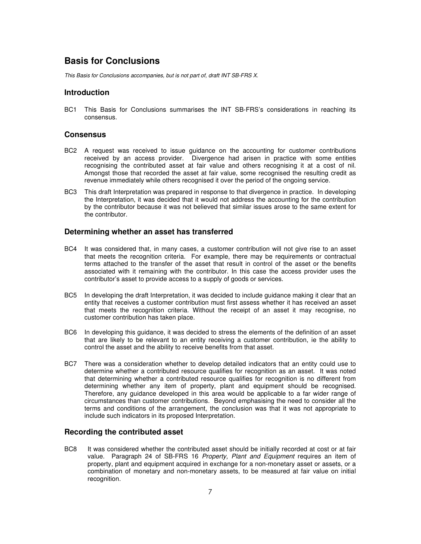### **Basis for Conclusions**

This Basis for Conclusions accompanies, but is not part of, draft INT SB-FRS X.

#### **Introduction**

BC1 This Basis for Conclusions summarises the INT SB-FRS's considerations in reaching its consensus.

#### **Consensus**

- BC2 A request was received to issue guidance on the accounting for customer contributions received by an access provider. Divergence had arisen in practice with some entities recognising the contributed asset at fair value and others recognising it at a cost of nil. Amongst those that recorded the asset at fair value, some recognised the resulting credit as revenue immediately while others recognised it over the period of the ongoing service.
- BC3 This draft Interpretation was prepared in response to that divergence in practice. In developing the Interpretation, it was decided that it would not address the accounting for the contribution by the contributor because it was not believed that similar issues arose to the same extent for the contributor.

#### **Determining whether an asset has transferred**

- BC4 It was considered that, in many cases, a customer contribution will not give rise to an asset that meets the recognition criteria. For example, there may be requirements or contractual terms attached to the transfer of the asset that result in control of the asset or the benefits associated with it remaining with the contributor. In this case the access provider uses the contributor's asset to provide access to a supply of goods or services.
- BC5 In developing the draft Interpretation, it was decided to include guidance making it clear that an entity that receives a customer contribution must first assess whether it has received an asset that meets the recognition criteria. Without the receipt of an asset it may recognise, no customer contribution has taken place.
- BC6 In developing this guidance, it was decided to stress the elements of the definition of an asset that are likely to be relevant to an entity receiving a customer contribution, ie the ability to control the asset and the ability to receive benefits from that asset.
- BC7 There was a consideration whether to develop detailed indicators that an entity could use to determine whether a contributed resource qualifies for recognition as an asset. It was noted that determining whether a contributed resource qualifies for recognition is no different from determining whether any item of property, plant and equipment should be recognised. Therefore, any guidance developed in this area would be applicable to a far wider range of circumstances than customer contributions. Beyond emphasising the need to consider all the terms and conditions of the arrangement, the conclusion was that it was not appropriate to include such indicators in its proposed Interpretation.

#### **Recording the contributed asset**

BC8 It was considered whether the contributed asset should be initially recorded at cost or at fair value. Paragraph 24 of SB-FRS 16 Property, Plant and Equipment requires an item of property, plant and equipment acquired in exchange for a non-monetary asset or assets, or a combination of monetary and non-monetary assets, to be measured at fair value on initial recognition.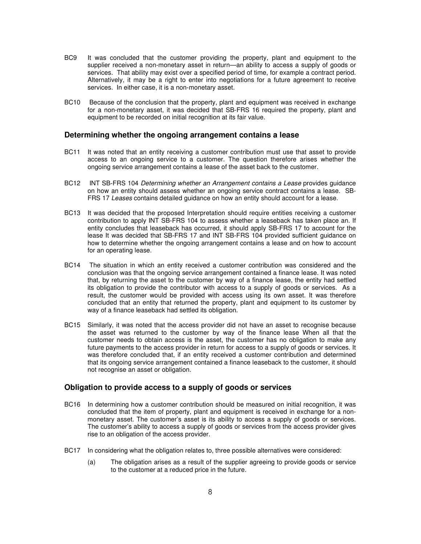- BC9 It was concluded that the customer providing the property, plant and equipment to the supplier received a non-monetary asset in return—an ability to access a supply of goods or services. That ability may exist over a specified period of time, for example a contract period. Alternatively, it may be a right to enter into negotiations for a future agreement to receive services. In either case, it is a non-monetary asset.
- BC10 Because of the conclusion that the property, plant and equipment was received in exchange for a non-monetary asset, it was decided that SB-FRS 16 required the property, plant and equipment to be recorded on initial recognition at its fair value.

#### **Determining whether the ongoing arrangement contains a lease**

- BC11 It was noted that an entity receiving a customer contribution must use that asset to provide access to an ongoing service to a customer. The question therefore arises whether the ongoing service arrangement contains a lease of the asset back to the customer.
- BC12 INT SB-FRS 104 Determining whether an Arrangement contains a Lease provides guidance on how an entity should assess whether an ongoing service contract contains a lease. SB-FRS 17 Leases contains detailed guidance on how an entity should account for a lease.
- BC13 It was decided that the proposed Interpretation should require entities receiving a customer contribution to apply INT SB-FRS 104 to assess whether a leaseback has taken place an. If entity concludes that leaseback has occurred, it should apply SB-FRS 17 to account for the lease It was decided that SB-FRS 17 and INT SB-FRS 104 provided sufficient guidance on how to determine whether the ongoing arrangement contains a lease and on how to account for an operating lease.
- BC14 The situation in which an entity received a customer contribution was considered and the conclusion was that the ongoing service arrangement contained a finance lease. It was noted that, by returning the asset to the customer by way of a finance lease, the entity had settled its obligation to provide the contributor with access to a supply of goods or services. As a result, the customer would be provided with access using its own asset. It was therefore concluded that an entity that returned the property, plant and equipment to its customer by way of a finance leaseback had settled its obligation.
- BC15 Similarly, it was noted that the access provider did not have an asset to recognise because the asset was returned to the customer by way of the finance lease When all that the customer needs to obtain access is the asset, the customer has no obligation to make any future payments to the access provider in return for access to a supply of goods or services. It was therefore concluded that, if an entity received a customer contribution and determined that its ongoing service arrangement contained a finance leaseback to the customer, it should not recognise an asset or obligation.

#### **Obligation to provide access to a supply of goods or services**

- BC16 In determining how a customer contribution should be measured on initial recognition, it was concluded that the item of property, plant and equipment is received in exchange for a nonmonetary asset. The customer's asset is its ability to access a supply of goods or services. The customer's ability to access a supply of goods or services from the access provider gives rise to an obligation of the access provider.
- BC17 In considering what the obligation relates to, three possible alternatives were considered:
	- (a) The obligation arises as a result of the supplier agreeing to provide goods or service to the customer at a reduced price in the future.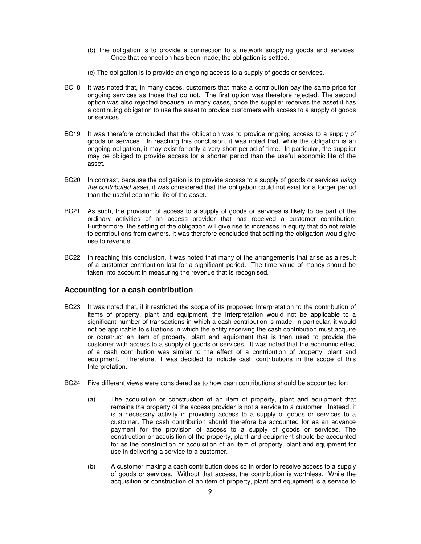- (b) The obligation is to provide a connection to a network supplying goods and services. Once that connection has been made, the obligation is settled.
- (c) The obligation is to provide an ongoing access to a supply of goods or services.
- BC18 It was noted that, in many cases, customers that make a contribution pay the same price for ongoing services as those that do not. The first option was therefore rejected. The second option was also rejected because, in many cases, once the supplier receives the asset it has a continuing obligation to use the asset to provide customers with access to a supply of goods or services.
- BC19 It was therefore concluded that the obligation was to provide ongoing access to a supply of goods or services. In reaching this conclusion, it was noted that, while the obligation is an ongoing obligation, it may exist for only a very short period of time. In particular, the supplier may be obliged to provide access for a shorter period than the useful economic life of the asset.
- BC20 In contrast, because the obligation is to provide access to a supply of goods or services using the contributed asset, it was considered that the obligation could not exist for a longer period than the useful economic life of the asset.
- BC21 As such, the provision of access to a supply of goods or services is likely to be part of the ordinary activities of an access provider that has received a customer contribution. Furthermore, the settling of the obligation will give rise to increases in equity that do not relate to contributions from owners. It was therefore concluded that settling the obligation would give rise to revenue.
- BC22 In reaching this conclusion, it was noted that many of the arrangements that arise as a result of a customer contribution last for a significant period. The time value of money should be taken into account in measuring the revenue that is recognised.

#### **Accounting for a cash contribution**

- BC23 It was noted that, if it restricted the scope of its proposed Interpretation to the contribution of items of property, plant and equipment, the Interpretation would not be applicable to a significant number of transactions in which a cash contribution is made. In particular, it would not be applicable to situations in which the entity receiving the cash contribution must acquire or construct an item of property, plant and equipment that is then used to provide the customer with access to a supply of goods or services. It was noted that the economic effect of a cash contribution was similar to the effect of a contribution of property, plant and equipment. Therefore, it was decided to include cash contributions in the scope of this Interpretation.
- BC24 Five different views were considered as to how cash contributions should be accounted for:
	- (a) The acquisition or construction of an item of property, plant and equipment that remains the property of the access provider is not a service to a customer. Instead, it is a necessary activity in providing access to a supply of goods or services to a customer. The cash contribution should therefore be accounted for as an advance payment for the provision of access to a supply of goods or services. The construction or acquisition of the property, plant and equipment should be accounted for as the construction or acquisition of an item of property, plant and equipment for use in delivering a service to a customer.
	- (b) A customer making a cash contribution does so in order to receive access to a supply of goods or services. Without that access, the contribution is worthless. While the acquisition or construction of an item of property, plant and equipment is a service to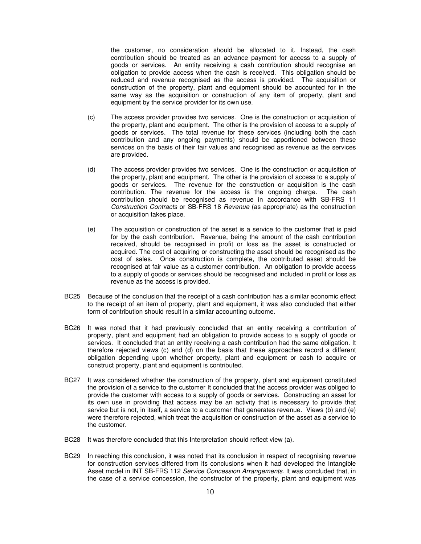the customer, no consideration should be allocated to it. Instead, the cash contribution should be treated as an advance payment for access to a supply of goods or services. An entity receiving a cash contribution should recognise an obligation to provide access when the cash is received. This obligation should be reduced and revenue recognised as the access is provided. The acquisition or construction of the property, plant and equipment should be accounted for in the same way as the acquisition or construction of any item of property, plant and equipment by the service provider for its own use.

- (c) The access provider provides two services. One is the construction or acquisition of the property, plant and equipment. The other is the provision of access to a supply of goods or services. The total revenue for these services (including both the cash contribution and any ongoing payments) should be apportioned between these services on the basis of their fair values and recognised as revenue as the services are provided.
- (d) The access provider provides two services. One is the construction or acquisition of the property, plant and equipment. The other is the provision of access to a supply of goods or services. The revenue for the construction or acquisition is the cash contribution. The revenue for the access is the ongoing charge. The cash contribution should be recognised as revenue in accordance with SB-FRS 11 Construction Contracts or SB-FRS 18 Revenue (as appropriate) as the construction or acquisition takes place.
- (e) The acquisition or construction of the asset is a service to the customer that is paid for by the cash contribution. Revenue, being the amount of the cash contribution received, should be recognised in profit or loss as the asset is constructed or acquired. The cost of acquiring or constructing the asset should be recognised as the cost of sales. Once construction is complete, the contributed asset should be recognised at fair value as a customer contribution. An obligation to provide access to a supply of goods or services should be recognised and included in profit or loss as revenue as the access is provided.
- BC25 Because of the conclusion that the receipt of a cash contribution has a similar economic effect to the receipt of an item of property, plant and equipment, it was also concluded that either form of contribution should result in a similar accounting outcome.
- BC26 It was noted that it had previously concluded that an entity receiving a contribution of property, plant and equipment had an obligation to provide access to a supply of goods or services. It concluded that an entity receiving a cash contribution had the same obligation. It therefore rejected views (c) and (d) on the basis that these approaches record a different obligation depending upon whether property, plant and equipment or cash to acquire or construct property, plant and equipment is contributed.
- BC27 It was considered whether the construction of the property, plant and equipment constituted the provision of a service to the customer It concluded that the access provider was obliged to provide the customer with access to a supply of goods or services. Constructing an asset for its own use in providing that access may be an activity that is necessary to provide that service but is not, in itself, a service to a customer that generates revenue. Views (b) and (e) were therefore rejected, which treat the acquisition or construction of the asset as a service to the customer.
- BC28 It was therefore concluded that this Interpretation should reflect view (a).
- BC29 In reaching this conclusion, it was noted that its conclusion in respect of recognising revenue for construction services differed from its conclusions when it had developed the Intangible Asset model in INT SB-FRS 112 Service Concession Arrangements. It was concluded that, in the case of a service concession, the constructor of the property, plant and equipment was